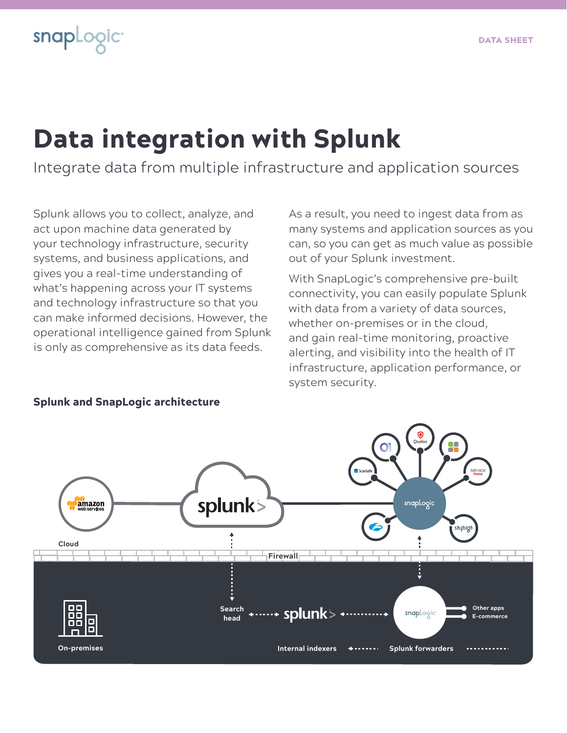# Data integration with Splunk

Integrate data from multiple infrastructure and application sources

Splunk allows you to collect, analyze, and act upon machine data generated by your technology infrastructure, security systems, and business applications, and gives you a real-time understanding of what's happening across your IT systems and technology infrastructure so that you can make informed decisions. However, the operational intelligence gained from Splunk is only as comprehensive as its data feeds.

As a result, you need to ingest data from as many systems and application sources as you can, so you can get as much value as possible out of your Splunk investment.

With SnapLogic's comprehensive pre-built connectivity, you can easily populate Splunk with data from a variety of data sources, whether on-premises or in the cloud, and gain real-time monitoring, proactive alerting, and visibility into the health of IT infrastructure, application performance, or system security.



### Splunk and SnapLogic architecture